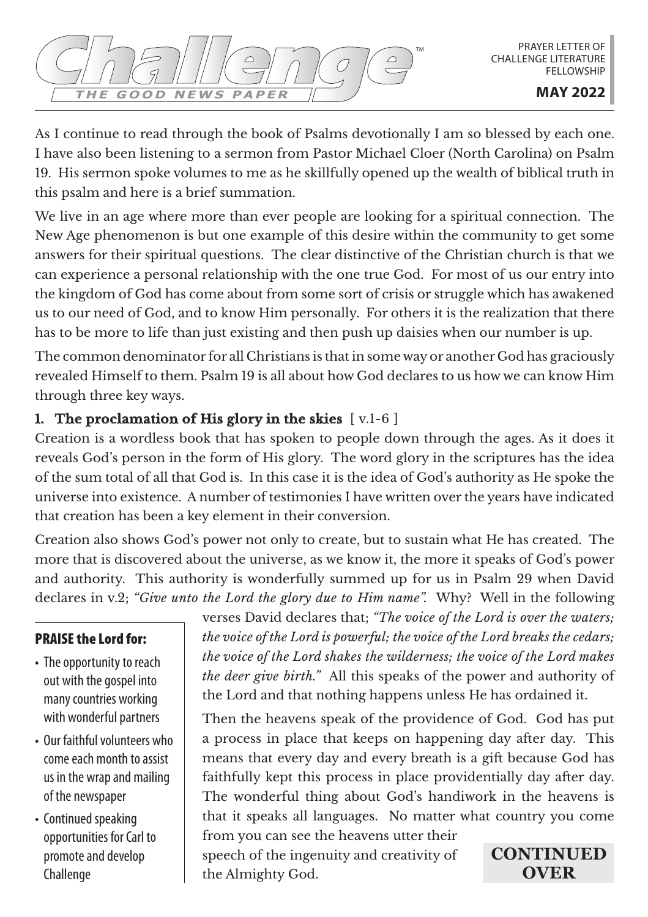As I continue to read through the book of Psalms devotionally I am so blessed by each one. I have also been listening to a sermon from Pastor Michael Cloer (North Carolina) on Psalm 19. His sermon spoke volumes to me as he skillfully opened up the wealth of biblical truth in this psalm and here is a brief summation.

We live in an age where more than ever people are looking for a spiritual connection. The New Age phenomenon is but one example of this desire within the community to get some answers for their spiritual questions. The clear distinctive of the Christian church is that we can experience a personal relationship with the one true God. For most of us our entry into the kingdom of God has come about from some sort of crisis or struggle which has awakened us to our need of God, and to know Him personally. For others it is the realization that there has to be more to life than just existing and then push up daisies when our number is up.

The common denominator for all Christians is that in some way or another God has graciously revealed Himself to them. Psalm 19 is all about how God declares to us how we can know Him through three key ways.

# **1. The proclamation of His glory in the skies** [ v.1-6 ]

Creation is a wordless book that has spoken to people down through the ages. As it does it reveals God's person in the form of His glory. The word glory in the scriptures has the idea of the sum total of all that God is. In this case it is the idea of God's authority as He spoke the universe into existence. A number of testimonies I have written over the years have indicated that creation has been a key element in their conversion.

Creation also shows God's power not only to create, but to sustain what He has created. The more that is discovered about the universe, as we know it, the more it speaks of God's power and authority. This authority is wonderfully summed up for us in Psalm 29 when David declares in v.2; *"Give unto the Lord the glory due to Him name".* Why? Well in the following

### PRAISE the Lord for:

- The opportunity to reach out with the gospel into many countries working with wonderful partners
- Our faithful volunteers who come each month to assist us in the wrap and mailing of the newspaper
- Continued speaking opportunities for Carl to promote and develop Challenge

verses David declares that; *"The voice of the Lord is over the waters; the voice of the Lord is powerful; the voice of the Lord breaks the cedars; the voice of the Lord shakes the wilderness; the voice of the Lord makes the deer give birth."* All this speaks of the power and authority of the Lord and that nothing happens unless He has ordained it.

Then the heavens speak of the providence of God. God has put a process in place that keeps on happening day after day. This means that every day and every breath is a gift because God has faithfully kept this process in place providentially day after day. The wonderful thing about God's handiwork in the heavens is that it speaks all languages. No matter what country you come

from you can see the heavens utter their speech of the ingenuity and creativity of the Almighty God.

**CONTINUED OVER**